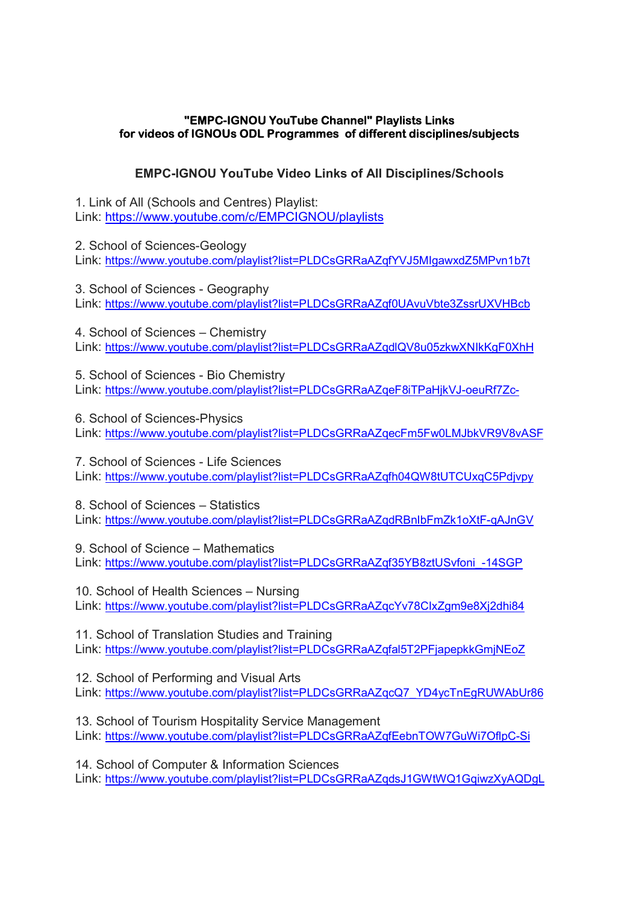## "EMPC-IGNOU YouTube Channel" Playlists Links for videos of IGNOUs ODL Programmes of different disciplines/subjects

## EMPC-IGNOU YouTube Video Links of All Disciplines/Schools

1. Link of All (Schools and Centres) Playlist: Link: https://www.youtube.com/c/EMPCIGNOU/playlists

2. School of Sciences-Geology Link: https://www.youtube.com/playlist?list=PLDCsGRRaAZqfYVJ5MIgawxdZ5MPvn1b7t

3. School of Sciences - Geography Link: https://www.youtube.com/playlist?list=PLDCsGRRaAZqf0UAvuVbte3ZssrUXVHBcb

4. School of Sciences – Chemistry Link: https://www.youtube.com/playlist?list=PLDCsGRRaAZqdlQV8u05zkwXNIkKgF0XhH

5. School of Sciences - Bio Chemistry Link: https://www.youtube.com/playlist?list=PLDCsGRRaAZqeF8iTPaHjkVJ-oeuRf7Zc-

6. School of Sciences-Physics Link: https://www.youtube.com/playlist?list=PLDCsGRRaAZqecFm5Fw0LMJbkVR9V8vASF

7. School of Sciences - Life Sciences Link: https://www.youtube.com/playlist?list=PLDCsGRRaAZqfh04QW8tUTCUxqC5Pdjvpy

8. School of Sciences – Statistics Link: https://www.youtube.com/playlist?list=PLDCsGRRaAZqdRBnIbFmZk1oXtF-qAJnGV

9. School of Science – Mathematics Link: https://www.youtube.com/playlist?list=PLDCsGRRaAZqf35YB8ztUSvfoni\_-14SGP

10. School of Health Sciences – Nursing Link: https://www.youtube.com/playlist?list=PLDCsGRRaAZqcYv78CIxZgm9e8Xj2dhi84

11. School of Translation Studies and Training Link: https://www.youtube.com/playlist?list=PLDCsGRRaAZqfal5T2PFjapepkkGmjNEoZ

12. School of Performing and Visual Arts Link: https://www.youtube.com/playlist?list=PLDCsGRRaAZqcQ7\_YD4ycTnEgRUWAbUr86

13. School of Tourism Hospitality Service Management Link: https://www.youtube.com/playlist?list=PLDCsGRRaAZqfEebnTOW7GuWi7OflpC-Si

14. School of Computer & Information Sciences Link: https://www.youtube.com/playlist?list=PLDCsGRRaAZqdsJ1GWtWQ1GqiwzXyAQDgL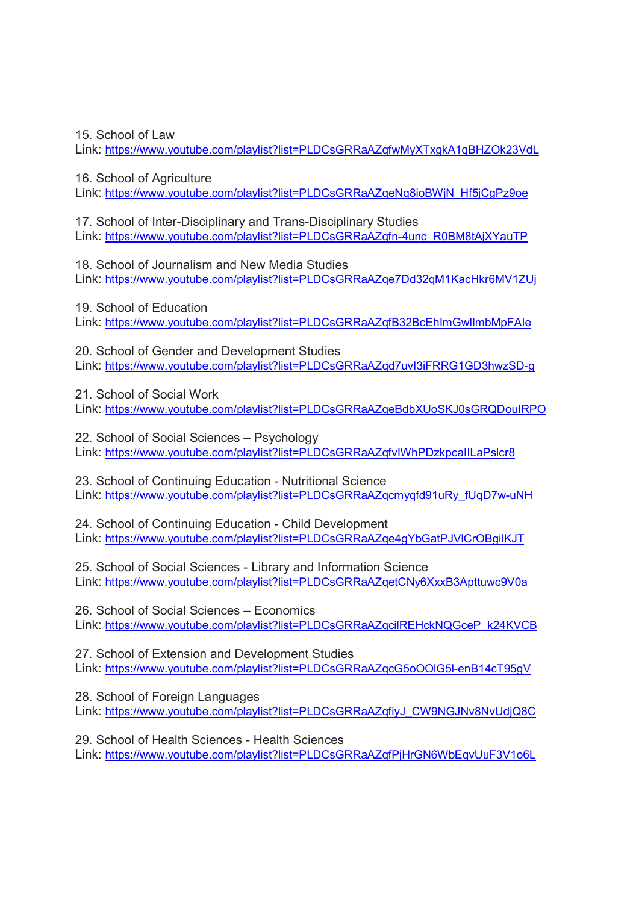15. School of Law

Link: https://www.youtube.com/playlist?list=PLDCsGRRaAZqfwMyXTxqkA1qBHZOk23VdL

16. School of Agriculture

Link: https://www.youtube.com/playlist?list=PLDCsGRRaAZqeNq8ioBWjN\_Hf5jCgPz9oe

17. School of Inter-Disciplinary and Trans-Disciplinary Studies Link: https://www.youtube.com/playlist?list=PLDCsGRRaAZqfn-4unc\_R0BM8tAjXYauTP

18. School of Journalism and New Media Studies Link: https://www.youtube.com/playlist?list=PLDCsGRRaAZqe7Dd32qM1KacHkr6MV1ZUj

19. School of Education Link: https://www.youtube.com/playlist?list=PLDCsGRRaAZqfB32BcEhImGwIlmbMpFAIe

20. School of Gender and Development Studies Link: https://www.youtube.com/playlist?list=PLDCsGRRaAZqd7uvI3iFRRG1GD3hwzSD-g

21. School of Social Work Link: https://www.youtube.com/playlist?list=PLDCsGRRaAZqeBdbXUoSKJ0sGRQDouIRPO

22. School of Social Sciences – Psychology Link: https://www.youtube.com/playlist?list=PLDCsGRRaAZqfvIWhPDzkpcaIILaPslcr8

23. School of Continuing Education - Nutritional Science Link: https://www.youtube.com/playlist?list=PLDCsGRRaAZqcmyqfd91uRy\_fUqD7w-uNH

24. School of Continuing Education - Child Development Link: https://www.youtube.com/playlist?list=PLDCsGRRaAZqe4gYbGatPJVlCrOBgilKJT

25. School of Social Sciences - Library and Information Science Link: https://www.youtube.com/playlist?list=PLDCsGRRaAZqetCNy6XxxB3Apttuwc9V0a

26. School of Social Sciences – Economics Link: https://www.youtube.com/playlist?list=PLDCsGRRaAZqcilREHckNQGceP\_k24KVCB

27. School of Extension and Development Studies Link: https://www.youtube.com/playlist?list=PLDCsGRRaAZqcG5oOOlG5l-enB14cT95gV

28. School of Foreign Languages Link: https://www.youtube.com/playlist?list=PLDCsGRRaAZqfiyJ\_CW9NGJNv8NvUdjQ8C

29. School of Health Sciences - Health Sciences Link: https://www.youtube.com/playlist?list=PLDCsGRRaAZqfPjHrGN6WbEqvUuF3V1o6L